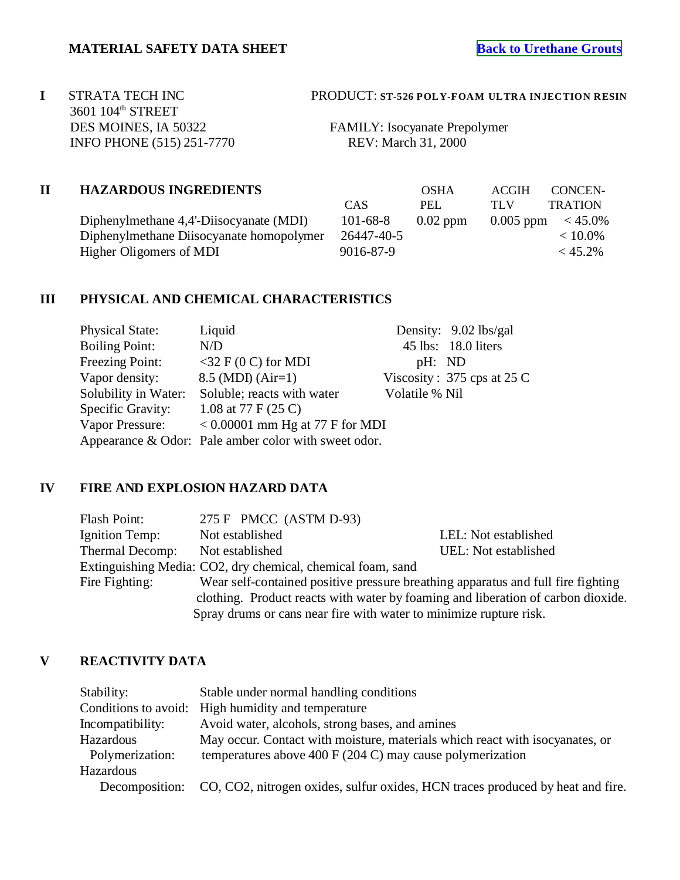# 3601 104<sup>th</sup> STREET DES MOINES, IA 50322 FAMILY: Isocyanate Prepolymer INFO PHONE (515) 251-7770 REV: March 31, 2000

## **I** STRATA TECH INC PRODUCT: **ST-526 POLY-FOAM ULTRA INJECTION RESIN**

# **II HAZARDOUS INGREDIENTS** OSHA ACGIH CONCEN-

Diphenylmethane 4,4'-Diisocyanate (MI Diphenylmethane Diisocyanate homopolymer 26447-40-5 and 26447-40-5 and 26447-40-5 and 26447-40-5 and 26447-40-5 and 26447-5 and 26447-5 and 26447-5 and 26447-5 and 26447-5 and 26447-5 and 26447-5 and 26447-5 and 26447-5 an Higher Oligomers of MDI

|         |            | <b>USHA</b> | ACOIII | - CONCENT             |
|---------|------------|-------------|--------|-----------------------|
|         | CAS.       | PEL.        | TLV    | <b>TRATION</b>        |
| MDI)    | 101-68-8   | $0.02$ ppm  |        | 0.005 ppm $\lt$ 45.0% |
| polymer | 26447-40-5 |             |        | $< 10.0\%$            |
|         | 9016-87-9  |             |        | < 45.2%               |
|         |            |             |        |                       |

# **III PHYSICAL AND CHEMICAL CHARACTERISTICS**

| <b>Physical State:</b> | Liquid                                               |                | Density: $9.02$ lbs/gal      |
|------------------------|------------------------------------------------------|----------------|------------------------------|
| <b>Boiling Point:</b>  | N/D                                                  |                | 45 lbs: 18.0 liters          |
| Freezing Point:        | $<$ 32 F (0 C) for MDI                               | pH: ND         |                              |
| Vapor density:         | $8.5$ (MDI) (Air=1)                                  |                | Viscosity: $375$ cps at 25 C |
| Solubility in Water:   | Soluble; reacts with water                           | Volatile % Nil |                              |
| Specific Gravity:      | 1.08 at 77 F $(25 C)$                                |                |                              |
| Vapor Pressure:        | $< 0.00001$ mm Hg at 77 F for MDI                    |                |                              |
|                        | Appearance & Odor: Pale amber color with sweet odor. |                |                              |

## **IV FIRE AND EXPLOSION HAZARD DATA**

| Flash Point:    | 275 F PMCC $(ASTM D-93)$                                                         |                      |
|-----------------|----------------------------------------------------------------------------------|----------------------|
| Ignition Temp:  | Not established                                                                  | LEL: Not established |
| Thermal Decomp: | Not established                                                                  | UEL: Not established |
|                 | Extinguishing Media: CO2, dry chemical, chemical foam, sand                      |                      |
| Fire Fighting:  | Wear self-contained positive pressure breathing apparatus and full fire fighting |                      |
|                 | clothing. Product reacts with water by foaming and liberation of carbon dioxide. |                      |
|                 | Spray drums or cans near fire with water to minimize rupture risk.               |                      |

# **V REACTIVITY DATA**

| Stability:       | Stable under normal handling conditions                                        |
|------------------|--------------------------------------------------------------------------------|
|                  | Conditions to avoid: High humidity and temperature                             |
| Incompatibility: | Avoid water, alcohols, strong bases, and amines                                |
| Hazardous        | May occur. Contact with moisture, materials which react with isocyanates, or   |
| Polymerization:  | temperatures above 400 F (204 C) may cause polymerization                      |
| Hazardous        |                                                                                |
| Decomposition:   | CO, CO2, nitrogen oxides, sulfur oxides, HCN traces produced by heat and fire. |